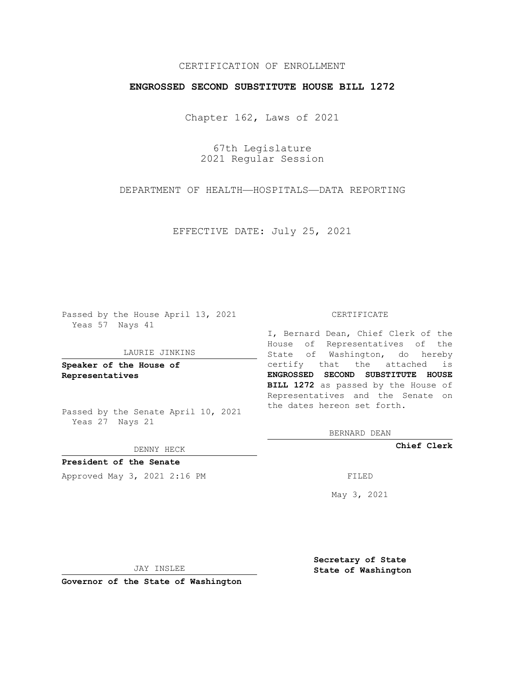# CERTIFICATION OF ENROLLMENT

### **ENGROSSED SECOND SUBSTITUTE HOUSE BILL 1272**

Chapter 162, Laws of 2021

67th Legislature 2021 Regular Session

DEPARTMENT OF HEALTH—HOSPITALS—DATA REPORTING

EFFECTIVE DATE: July 25, 2021

Passed by the House April 13, 2021 Yeas 57 Nays 41

#### LAURIE JINKINS

**Speaker of the House of Representatives**

Passed by the Senate April 10, 2021 Yeas 27 Nays 21

DENNY HECK

**President of the Senate** Approved May 3, 2021 2:16 PM FILED

#### CERTIFICATE

I, Bernard Dean, Chief Clerk of the House of Representatives of the State of Washington, do hereby certify that the attached is **ENGROSSED SECOND SUBSTITUTE HOUSE BILL 1272** as passed by the House of Representatives and the Senate on the dates hereon set forth.

BERNARD DEAN

**Chief Clerk**

May 3, 2021

JAY INSLEE

**Governor of the State of Washington**

**Secretary of State State of Washington**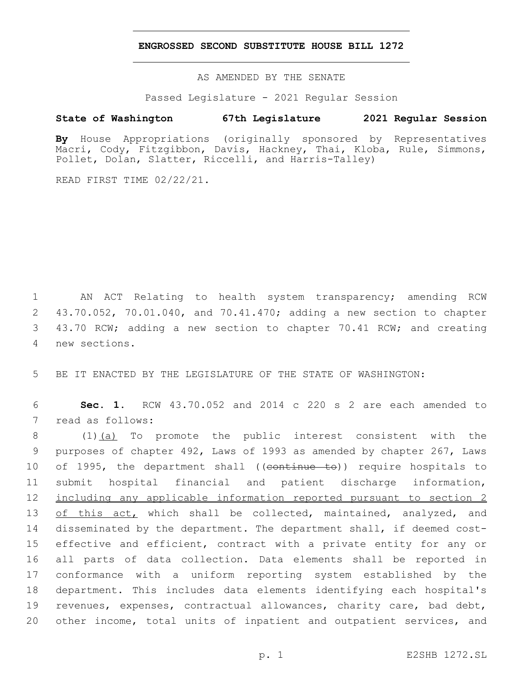#### **ENGROSSED SECOND SUBSTITUTE HOUSE BILL 1272**

AS AMENDED BY THE SENATE

Passed Legislature - 2021 Regular Session

## **State of Washington 67th Legislature 2021 Regular Session**

**By** House Appropriations (originally sponsored by Representatives Macri, Cody, Fitzgibbon, Davis, Hackney, Thai, Kloba, Rule, Simmons, Pollet, Dolan, Slatter, Riccelli, and Harris-Talley)

READ FIRST TIME 02/22/21.

 AN ACT Relating to health system transparency; amending RCW 43.70.052, 70.01.040, and 70.41.470; adding a new section to chapter 43.70 RCW; adding a new section to chapter 70.41 RCW; and creating new sections.4

5 BE IT ENACTED BY THE LEGISLATURE OF THE STATE OF WASHINGTON:

6 **Sec. 1.** RCW 43.70.052 and 2014 c 220 s 2 are each amended to 7 read as follows:

 (1)(a) To promote the public interest consistent with the purposes of chapter 492, Laws of 1993 as amended by chapter 267, Laws 10 of 1995, the department shall ((continue to)) require hospitals to submit hospital financial and patient discharge information, including any applicable information reported pursuant to section 2 13 of this act, which shall be collected, maintained, analyzed, and disseminated by the department. The department shall, if deemed cost-15 effective and efficient, contract with a private entity for any or all parts of data collection. Data elements shall be reported in conformance with a uniform reporting system established by the department. This includes data elements identifying each hospital's revenues, expenses, contractual allowances, charity care, bad debt, other income, total units of inpatient and outpatient services, and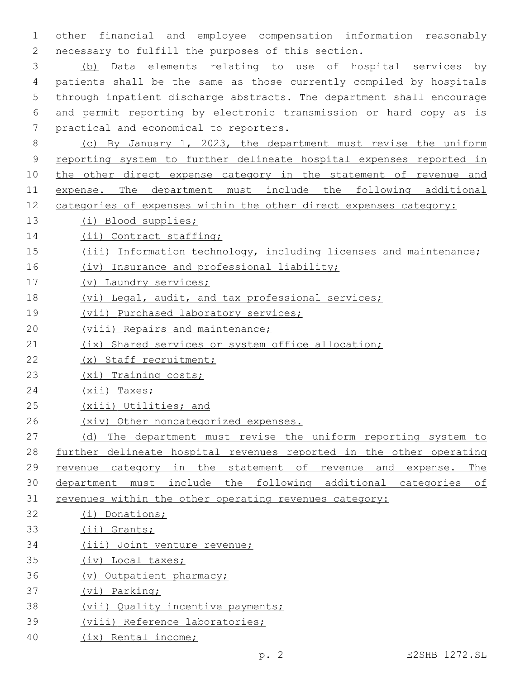other financial and employee compensation information reasonably 2 necessary to fulfill the purposes of this section.

 (b) Data elements relating to use of hospital services by patients shall be the same as those currently compiled by hospitals through inpatient discharge abstracts. The department shall encourage and permit reporting by electronic transmission or hard copy as is 7 practical and economical to reporters.

 (c) By January 1, 2023, the department must revise the uniform reporting system to further delineate hospital expenses reported in 10 the other direct expense category in the statement of revenue and 11 expense. The department must include the following additional categories of expenses within the other direct expenses category:

- (i) Blood supplies;
- 14 (ii) Contract staffing;
- (iii) Information technology, including licenses and maintenance;
- 16 (iv) Insurance and professional liability;
- (v) Laundry services;
- (vi) Legal, audit, and tax professional services;
- (vii) Purchased laboratory services;
- 20 (viii) Repairs and maintenance;
- 21 (ix) Shared services or system office allocation;
- (x) Staff recruitment;
- (xi) Training costs;
- 24 (xii) Taxes;
- (xiii) Utilities; and
- (xiv) Other noncategorized expenses.
- 27 (d) The department must revise the uniform reporting system to further delineate hospital revenues reported in the other operating revenue category in the statement of revenue and expense. The department must include the following additional categories of revenues within the other operating revenues category:
- (i) Donations;
- (ii) Grants;
- (iii) Joint venture revenue;
- (iv) Local taxes;
- (v) Outpatient pharmacy;
- (vi) Parking;
- (vii) Quality incentive payments;
- (viii) Reference laboratories;
- (ix) Rental income;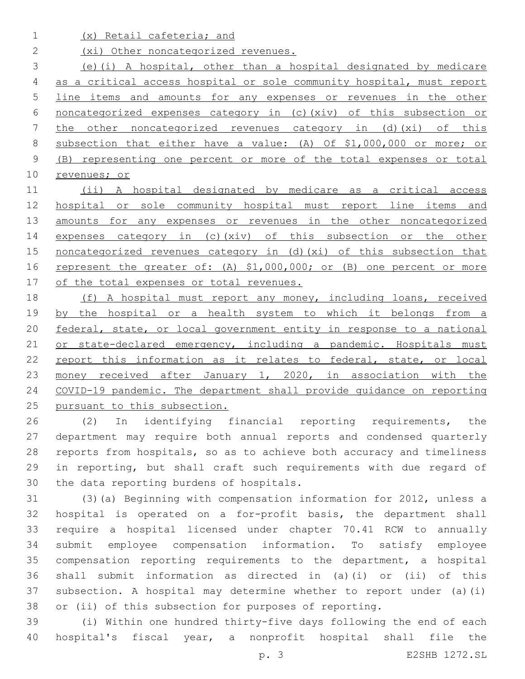(x) Retail cafeteria; and

2 (xi) Other noncategorized revenues.

 (e)(i) A hospital, other than a hospital designated by medicare as a critical access hospital or sole community hospital, must report line items and amounts for any expenses or revenues in the other noncategorized expenses category in (c)(xiv) of this subsection or the other noncategorized revenues category in (d)(xi) of this subsection that either have a value: (A) Of \$1,000,000 or more; or (B) representing one percent or more of the total expenses or total revenues; or

 (ii) A hospital designated by medicare as a critical access 12 hospital or sole community hospital must report line items and 13 amounts for any expenses or revenues in the other noncategorized expenses category in (c)(xiv) of this subsection or the other 15 noncategorized revenues category in (d) (xi) of this subsection that 16 represent the greater of: (A) \$1,000,000; or (B) one percent or more 17 of the total expenses or total revenues.

 (f) A hospital must report any money, including loans, received 19 by the hospital or a health system to which it belongs from a federal, state, or local government entity in response to a national 21 or state-declared emergency, including a pandemic. Hospitals must 22 report this information as it relates to federal, state, or local 23 money received after January 1, 2020, in association with the COVID-19 pandemic. The department shall provide guidance on reporting pursuant to this subsection.

 (2) In identifying financial reporting requirements, the department may require both annual reports and condensed quarterly reports from hospitals, so as to achieve both accuracy and timeliness in reporting, but shall craft such requirements with due regard of 30 the data reporting burdens of hospitals.

 (3)(a) Beginning with compensation information for 2012, unless a hospital is operated on a for-profit basis, the department shall require a hospital licensed under chapter 70.41 RCW to annually submit employee compensation information. To satisfy employee compensation reporting requirements to the department, a hospital shall submit information as directed in (a)(i) or (ii) of this subsection. A hospital may determine whether to report under (a)(i) or (ii) of this subsection for purposes of reporting.

 (i) Within one hundred thirty-five days following the end of each hospital's fiscal year, a nonprofit hospital shall file the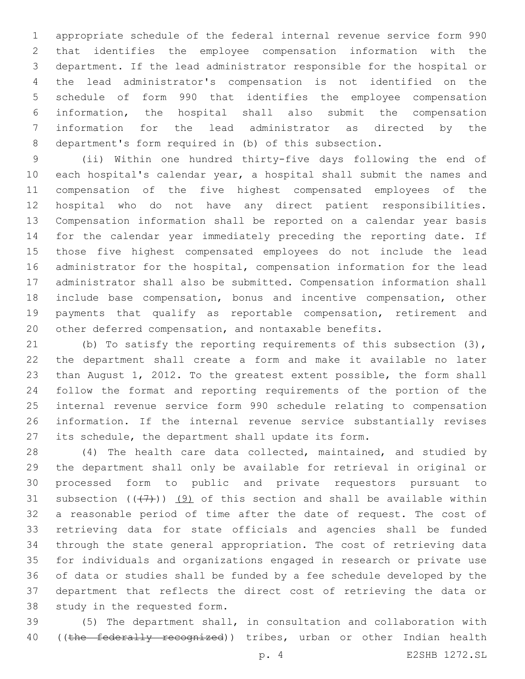appropriate schedule of the federal internal revenue service form 990 that identifies the employee compensation information with the department. If the lead administrator responsible for the hospital or the lead administrator's compensation is not identified on the schedule of form 990 that identifies the employee compensation information, the hospital shall also submit the compensation information for the lead administrator as directed by the department's form required in (b) of this subsection.

 (ii) Within one hundred thirty-five days following the end of each hospital's calendar year, a hospital shall submit the names and compensation of the five highest compensated employees of the hospital who do not have any direct patient responsibilities. Compensation information shall be reported on a calendar year basis for the calendar year immediately preceding the reporting date. If those five highest compensated employees do not include the lead administrator for the hospital, compensation information for the lead administrator shall also be submitted. Compensation information shall include base compensation, bonus and incentive compensation, other payments that qualify as reportable compensation, retirement and other deferred compensation, and nontaxable benefits.

 (b) To satisfy the reporting requirements of this subsection (3), the department shall create a form and make it available no later than August 1, 2012. To the greatest extent possible, the form shall follow the format and reporting requirements of the portion of the internal revenue service form 990 schedule relating to compensation information. If the internal revenue service substantially revises its schedule, the department shall update its form.

 (4) The health care data collected, maintained, and studied by the department shall only be available for retrieval in original or processed form to public and private requestors pursuant to 31 subsection  $((+7+))$  (9) of this section and shall be available within a reasonable period of time after the date of request. The cost of retrieving data for state officials and agencies shall be funded through the state general appropriation. The cost of retrieving data for individuals and organizations engaged in research or private use of data or studies shall be funded by a fee schedule developed by the department that reflects the direct cost of retrieving the data or 38 study in the requested form.

 (5) The department shall, in consultation and collaboration with 40 ((the federally recognized)) tribes, urban or other Indian health

p. 4 E2SHB 1272.SL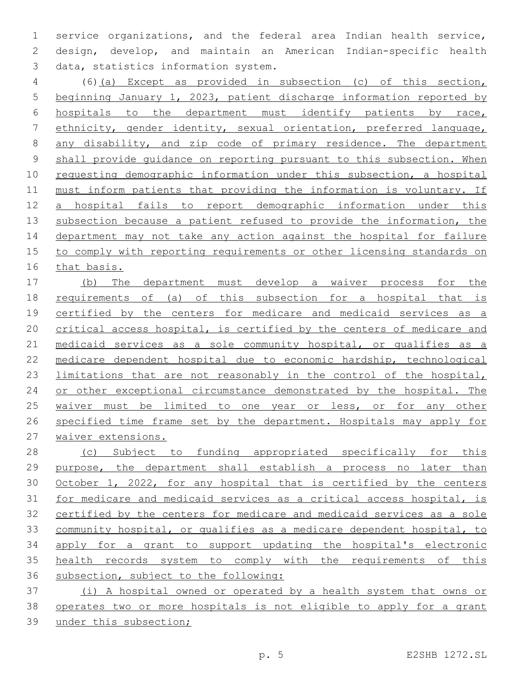service organizations, and the federal area Indian health service, design, develop, and maintain an American Indian-specific health 3 data, statistics information system.

 (6)(a) Except as provided in subsection (c) of this section, beginning January 1, 2023, patient discharge information reported by hospitals to the department must identify patients by race, ethnicity, gender identity, sexual orientation, preferred language, any disability, and zip code of primary residence. The department shall provide guidance on reporting pursuant to this subsection. When requesting demographic information under this subsection, a hospital must inform patients that providing the information is voluntary. If a hospital fails to report demographic information under this 13 subsection because a patient refused to provide the information, the department may not take any action against the hospital for failure to comply with reporting requirements or other licensing standards on that basis.

 (b) The department must develop a waiver process for the requirements of (a) of this subsection for a hospital that is certified by the centers for medicare and medicaid services as a critical access hospital, is certified by the centers of medicare and 21 medicaid services as a sole community hospital, or qualifies as a medicare dependent hospital due to economic hardship, technological limitations that are not reasonably in the control of the hospital, 24 or other exceptional circumstance demonstrated by the hospital. The 25 waiver must be limited to one year or less, or for any other 26 specified time frame set by the department. Hospitals may apply for waiver extensions.

28 (c) Subject to funding appropriated specifically for this purpose, the department shall establish a process no later than 30 October 1, 2022, for any hospital that is certified by the centers for medicare and medicaid services as a critical access hospital, is certified by the centers for medicare and medicaid services as a sole community hospital, or qualifies as a medicare dependent hospital, to apply for a grant to support updating the hospital's electronic health records system to comply with the requirements of this subsection, subject to the following:

 (i) A hospital owned or operated by a health system that owns or operates two or more hospitals is not eligible to apply for a grant under this subsection;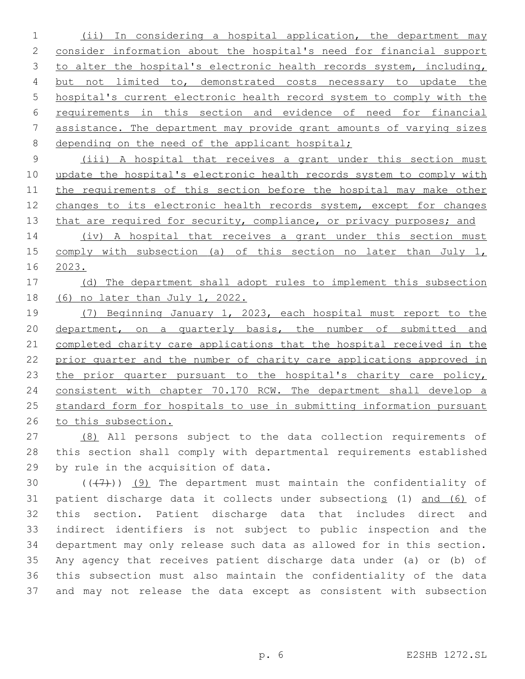(ii) In considering a hospital application, the department may consider information about the hospital's need for financial support 3 to alter the hospital's electronic health records system, including, 4 but not limited to, demonstrated costs necessary to update the hospital's current electronic health record system to comply with the requirements in this section and evidence of need for financial assistance. The department may provide grant amounts of varying sizes 8 depending on the need of the applicant hospital;

 (iii) A hospital that receives a grant under this section must update the hospital's electronic health records system to comply with 11 the requirements of this section before the hospital may make other changes to its electronic health records system, except for changes 13 that are required for security, compliance, or privacy purposes; and

 (iv) A hospital that receives a grant under this section must comply with subsection (a) of this section no later than July 1, 2023.

# 17 (d) The department shall adopt rules to implement this subsection (6) no later than July 1, 2022.

 (7) Beginning January 1, 2023, each hospital must report to the department, on a quarterly basis, the number of submitted and completed charity care applications that the hospital received in the prior quarter and the number of charity care applications approved in 23 the prior quarter pursuant to the hospital's charity care policy, consistent with chapter 70.170 RCW. The department shall develop a standard form for hospitals to use in submitting information pursuant to this subsection.

 (8) All persons subject to the data collection requirements of this section shall comply with departmental requirements established 29 by rule in the acquisition of data.

 $((+7+))$  (9) The department must maintain the confidentiality of patient discharge data it collects under subsections (1) and (6) of this section. Patient discharge data that includes direct and indirect identifiers is not subject to public inspection and the department may only release such data as allowed for in this section. Any agency that receives patient discharge data under (a) or (b) of this subsection must also maintain the confidentiality of the data and may not release the data except as consistent with subsection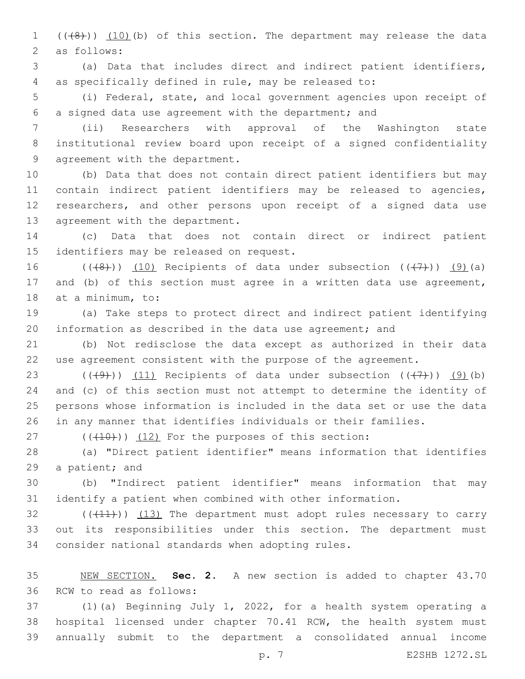1 (((8))) (10)(b) of this section. The department may release the data 2 as follows:

 (a) Data that includes direct and indirect patient identifiers, as specifically defined in rule, may be released to:

 (i) Federal, state, and local government agencies upon receipt of a signed data use agreement with the department; and

 (ii) Researchers with approval of the Washington state institutional review board upon receipt of a signed confidentiality 9 agreement with the department.

 (b) Data that does not contain direct patient identifiers but may contain indirect patient identifiers may be released to agencies, researchers, and other persons upon receipt of a signed data use 13 agreement with the department.

 (c) Data that does not contain direct or indirect patient 15 identifiers may be released on request.

16 ( $(\overline{(+8)}$ )) (10) Recipients of data under subsection  $((\overline{(+7)}))$  (9)(a) and (b) of this section must agree in a written data use agreement, 18 at a minimum, to:

 (a) Take steps to protect direct and indirect patient identifying information as described in the data use agreement; and

 (b) Not redisclose the data except as authorized in their data use agreement consistent with the purpose of the agreement.

23 ( $(\frac{49}{})$ ) (11) Recipients of data under subsection  $(\frac{47}{})$ ) (9)(b) and (c) of this section must not attempt to determine the identity of persons whose information is included in the data set or use the data in any manner that identifies individuals or their families.

( $(\overline{+10})$ )  $(12)$  For the purposes of this section:

 (a) "Direct patient identifier" means information that identifies 29 a patient; and

 (b) "Indirect patient identifier" means information that may identify a patient when combined with other information.

 $(1)$  ( $(11)$ ))  $(13)$  The department must adopt rules necessary to carry out its responsibilities under this section. The department must 34 consider national standards when adopting rules.

 NEW SECTION. **Sec. 2.** A new section is added to chapter 43.70 36 RCW to read as follows:

 (1)(a) Beginning July 1, 2022, for a health system operating a hospital licensed under chapter 70.41 RCW, the health system must annually submit to the department a consolidated annual income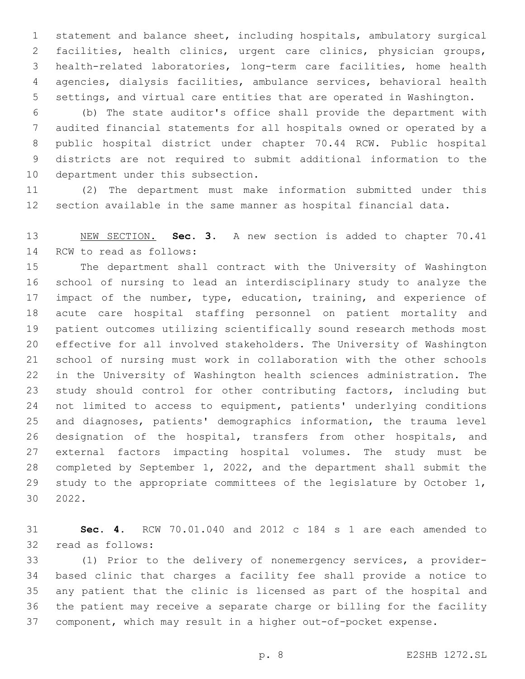statement and balance sheet, including hospitals, ambulatory surgical facilities, health clinics, urgent care clinics, physician groups, health-related laboratories, long-term care facilities, home health agencies, dialysis facilities, ambulance services, behavioral health settings, and virtual care entities that are operated in Washington.

 (b) The state auditor's office shall provide the department with audited financial statements for all hospitals owned or operated by a public hospital district under chapter 70.44 RCW. Public hospital districts are not required to submit additional information to the 10 department under this subsection.

 (2) The department must make information submitted under this section available in the same manner as hospital financial data.

 NEW SECTION. **Sec. 3.** A new section is added to chapter 70.41 14 RCW to read as follows:

 The department shall contract with the University of Washington school of nursing to lead an interdisciplinary study to analyze the 17 impact of the number, type, education, training, and experience of acute care hospital staffing personnel on patient mortality and patient outcomes utilizing scientifically sound research methods most effective for all involved stakeholders. The University of Washington school of nursing must work in collaboration with the other schools in the University of Washington health sciences administration. The study should control for other contributing factors, including but not limited to access to equipment, patients' underlying conditions and diagnoses, patients' demographics information, the trauma level designation of the hospital, transfers from other hospitals, and external factors impacting hospital volumes. The study must be completed by September 1, 2022, and the department shall submit the study to the appropriate committees of the legislature by October 1, 30 2022.

 **Sec. 4.** RCW 70.01.040 and 2012 c 184 s 1 are each amended to 32 read as follows:

 (1) Prior to the delivery of nonemergency services, a provider- based clinic that charges a facility fee shall provide a notice to any patient that the clinic is licensed as part of the hospital and the patient may receive a separate charge or billing for the facility component, which may result in a higher out-of-pocket expense.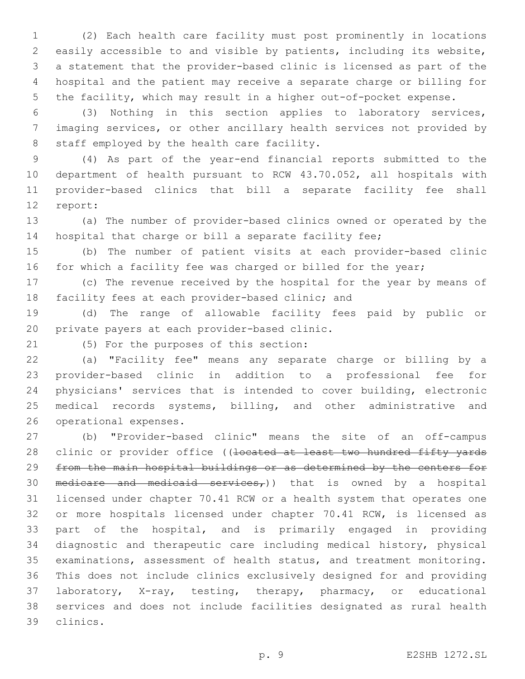(2) Each health care facility must post prominently in locations easily accessible to and visible by patients, including its website, a statement that the provider-based clinic is licensed as part of the hospital and the patient may receive a separate charge or billing for the facility, which may result in a higher out-of-pocket expense.

 (3) Nothing in this section applies to laboratory services, imaging services, or other ancillary health services not provided by 8 staff employed by the health care facility.

 (4) As part of the year-end financial reports submitted to the department of health pursuant to RCW 43.70.052, all hospitals with provider-based clinics that bill a separate facility fee shall 12 report:

 (a) The number of provider-based clinics owned or operated by the hospital that charge or bill a separate facility fee;

 (b) The number of patient visits at each provider-based clinic 16 for which a facility fee was charged or billed for the year;

 (c) The revenue received by the hospital for the year by means of 18 facility fees at each provider-based clinic; and

 (d) The range of allowable facility fees paid by public or 20 private payers at each provider-based clinic.

(5) For the purposes of this section:21

 (a) "Facility fee" means any separate charge or billing by a provider-based clinic in addition to a professional fee for physicians' services that is intended to cover building, electronic medical records systems, billing, and other administrative and 26 operational expenses.

 (b) "Provider-based clinic" means the site of an off-campus 28 clinic or provider office ((<del>located at least two hundred fifty yards</del> from the main hospital buildings or as determined by the centers for 30 medicare and medicaid services,)) that is owned by a hospital licensed under chapter 70.41 RCW or a health system that operates one or more hospitals licensed under chapter 70.41 RCW, is licensed as part of the hospital, and is primarily engaged in providing diagnostic and therapeutic care including medical history, physical examinations, assessment of health status, and treatment monitoring. This does not include clinics exclusively designed for and providing laboratory, X-ray, testing, therapy, pharmacy, or educational services and does not include facilities designated as rural health clinics.39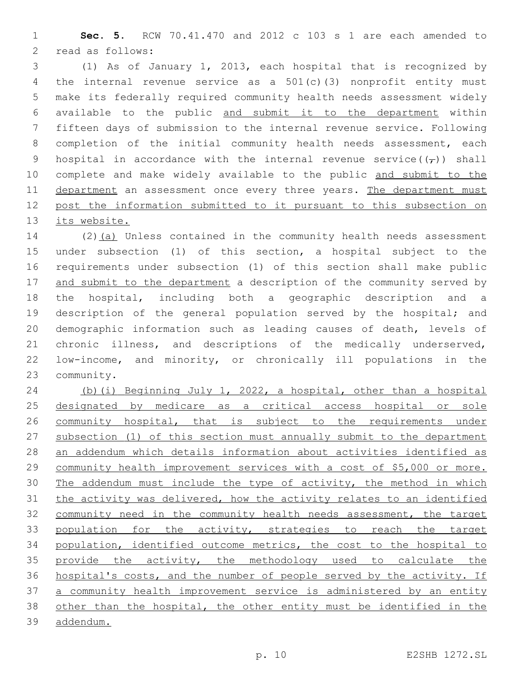**Sec. 5.** RCW 70.41.470 and 2012 c 103 s 1 are each amended to 2 read as follows:

 (1) As of January 1, 2013, each hospital that is recognized by the internal revenue service as a 501(c)(3) nonprofit entity must make its federally required community health needs assessment widely available to the public and submit it to the department within fifteen days of submission to the internal revenue service. Following 8 completion of the initial community health needs assessment, each 9 hospital in accordance with the internal revenue service( $(\tau)$ ) shall 10 complete and make widely available to the public and submit to the 11 department an assessment once every three years. The department must post the information submitted to it pursuant to this subsection on its website.

14 (2)(a) Unless contained in the community health needs assessment under subsection (1) of this section, a hospital subject to the requirements under subsection (1) of this section shall make public 17 and submit to the department a description of the community served by the hospital, including both a geographic description and a 19 description of the general population served by the hospital; and demographic information such as leading causes of death, levels of 21 chronic illness, and descriptions of the medically underserved, low-income, and minority, or chronically ill populations in the 23 community.

 (b)(i) Beginning July 1, 2022, a hospital, other than a hospital designated by medicare as a critical access hospital or sole community hospital, that is subject to the requirements under subsection (1) of this section must annually submit to the department an addendum which details information about activities identified as community health improvement services with a cost of \$5,000 or more. The addendum must include the type of activity, the method in which the activity was delivered, how the activity relates to an identified community need in the community health needs assessment, the target 33 population for the activity, strategies to reach the target population, identified outcome metrics, the cost to the hospital to 35 provide the activity, the methodology used to calculate the hospital's costs, and the number of people served by the activity. If 37 a community health improvement service is administered by an entity 38 other than the hospital, the other entity must be identified in the addendum.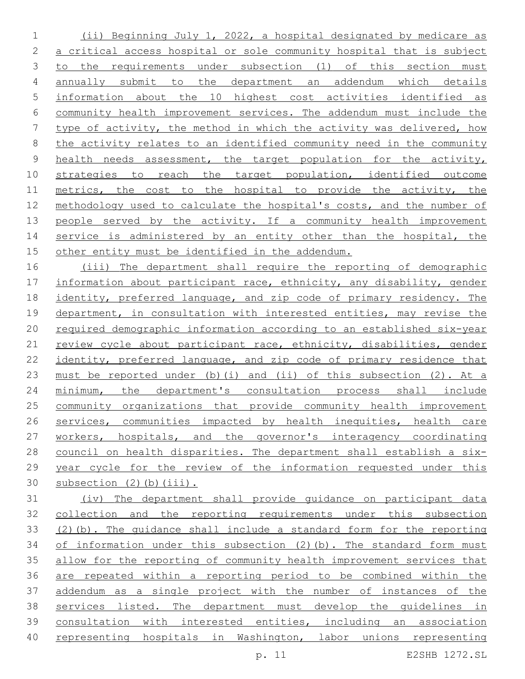(ii) Beginning July 1, 2022, a hospital designated by medicare as a critical access hospital or sole community hospital that is subject 3 to the requirements under subsection (1) of this section must annually submit to the department an addendum which details information about the 10 highest cost activities identified as community health improvement services. The addendum must include the type of activity, the method in which the activity was delivered, how the activity relates to an identified community need in the community 9 health needs assessment, the target population for the activity, 10 strategies to reach the target population, identified outcome 11 metrics, the cost to the hospital to provide the activity, the methodology used to calculate the hospital's costs, and the number of 13 people served by the activity. If a community health improvement 14 service is administered by an entity other than the hospital, the other entity must be identified in the addendum.

 (iii) The department shall require the reporting of demographic information about participant race, ethnicity, any disability, gender identity, preferred language, and zip code of primary residency. The department, in consultation with interested entities, may revise the required demographic information according to an established six-year 21 review cycle about participant race, ethnicity, disabilities, gender identity, preferred language, and zip code of primary residence that must be reported under (b)(i) and (ii) of this subsection (2). At a 24 minimum, the department's consultation process shall include community organizations that provide community health improvement 26 services, communities impacted by health inequities, health care workers, hospitals, and the governor's interagency coordinating council on health disparities. The department shall establish a six- year cycle for the review of the information requested under this subsection (2)(b)(iii).

 (iv) The department shall provide guidance on participant data collection and the reporting requirements under this subsection (2)(b). The guidance shall include a standard form for the reporting of information under this subsection (2)(b). The standard form must allow for the reporting of community health improvement services that are repeated within a reporting period to be combined within the addendum as a single project with the number of instances of the services listed. The department must develop the guidelines in consultation with interested entities, including an association 40 representing hospitals in Washington, labor unions representing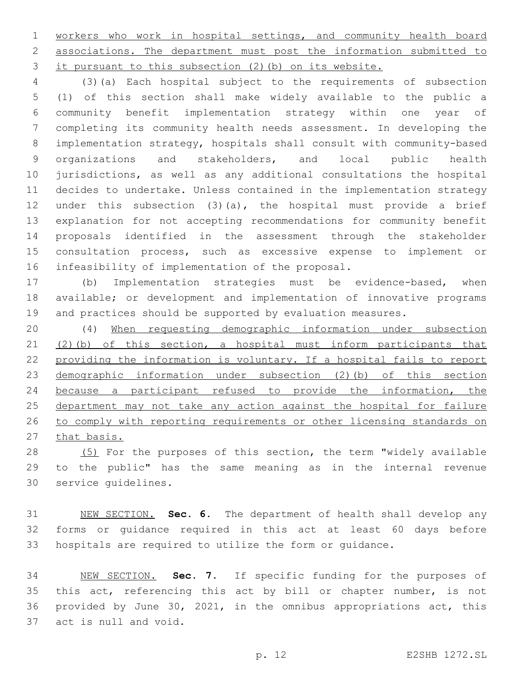workers who work in hospital settings, and community health board associations. The department must post the information submitted to it pursuant to this subsection (2)(b) on its website.

 (3)(a) Each hospital subject to the requirements of subsection (1) of this section shall make widely available to the public a community benefit implementation strategy within one year of completing its community health needs assessment. In developing the implementation strategy, hospitals shall consult with community-based organizations and stakeholders, and local public health jurisdictions, as well as any additional consultations the hospital decides to undertake. Unless contained in the implementation strategy under this subsection (3)(a), the hospital must provide a brief explanation for not accepting recommendations for community benefit proposals identified in the assessment through the stakeholder consultation process, such as excessive expense to implement or 16 infeasibility of implementation of the proposal.

 (b) Implementation strategies must be evidence-based, when available; or development and implementation of innovative programs and practices should be supported by evaluation measures.

 (4) When requesting demographic information under subsection (2)(b) of this section, a hospital must inform participants that providing the information is voluntary. If a hospital fails to report demographic information under subsection (2)(b) of this section because a participant refused to provide the information, the department may not take any action against the hospital for failure to comply with reporting requirements or other licensing standards on 27 that basis.

28 (5) For the purposes of this section, the term "widely available to the public" has the same meaning as in the internal revenue 30 service quidelines.

 NEW SECTION. **Sec. 6.** The department of health shall develop any forms or guidance required in this act at least 60 days before hospitals are required to utilize the form or guidance.

 NEW SECTION. **Sec. 7.** If specific funding for the purposes of 35 this act, referencing this act by bill or chapter number, is not provided by June 30, 2021, in the omnibus appropriations act, this act is null and void.